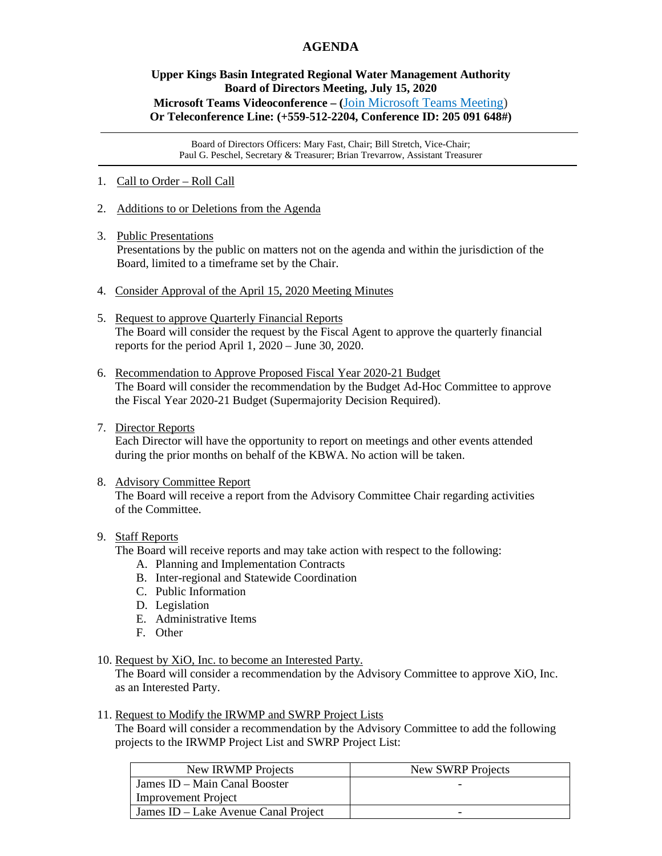# **AGENDA**

## **Upper Kings Basin Integrated Regional Water Management Authority Board of Directors Meeting, July 15, 2020 Microsoft Teams Videoconference – (**[Join Microsoft Teams Meeting\)](https://teams.microsoft.com/l/meetup-join/19%3ameeting_NDY2NmNkYzctZWZmYi00ZWI3LWJiMDMtYzIwNmI4ZDg2NWI2%40thread.v2/0?context=%7b%22Tid%22%3a%225e8da365-04e7-405e-b4b5-7eec6c65b1f4%22%2c%22Oid%22%3a%220fb939cb-3b3f-4f6b-af4d-602f4442f9b4%22%7d) **Or Teleconference Line: (+559-512-2204, Conference ID: 205 091 648#)**

Board of Directors Officers: Mary Fast, Chair; Bill Stretch, Vice-Chair; Paul G. Peschel, Secretary & Treasurer; Brian Trevarrow, Assistant Treasurer

- 1. Call to Order Roll Call
- 2. Additions to or Deletions from the Agenda
- 3. Public Presentations

Presentations by the public on matters not on the agenda and within the jurisdiction of the Board, limited to a timeframe set by the Chair.

- 4. Consider Approval of the April 15, 2020 Meeting Minutes
- 5. Request to approve Quarterly Financial Reports The Board will consider the request by the Fiscal Agent to approve the quarterly financial reports for the period April 1, 2020 – June 30, 2020.
- 6. Recommendation to Approve Proposed Fiscal Year 2020-21 Budget The Board will consider the recommendation by the Budget Ad-Hoc Committee to approve the Fiscal Year 2020-21 Budget (Supermajority Decision Required).
- 7. Director Reports

 Each Director will have the opportunity to report on meetings and other events attended during the prior months on behalf of the KBWA. No action will be taken.

#### 8. Advisory Committee Report

 The Board will receive a report from the Advisory Committee Chair regarding activities of the Committee.

#### 9. Staff Reports

The Board will receive reports and may take action with respect to the following:

- A. Planning and Implementation Contracts
- B. Inter-regional and Statewide Coordination
- C. Public Information
- D. Legislation
- E. Administrative Items
- F. Other

#### 10. Request by XiO, Inc. to become an Interested Party.

 The Board will consider a recommendation by the Advisory Committee to approve XiO, Inc. as an Interested Party.

#### 11. Request to Modify the IRWMP and SWRP Project Lists

 The Board will consider a recommendation by the Advisory Committee to add the following projects to the IRWMP Project List and SWRP Project List:

| New IRWMP Projects                   | New SWRP Projects |
|--------------------------------------|-------------------|
| James ID – Main Canal Booster        |                   |
| <b>Improvement Project</b>           |                   |
| James ID – Lake Avenue Canal Project | -                 |